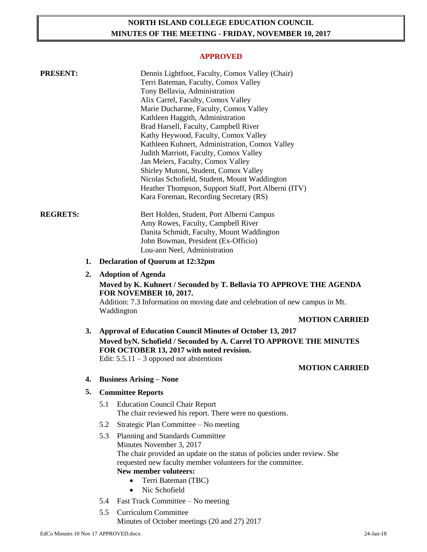# **NORTH ISLAND COLLEGE EDUCATION COUNCIL MINUTES OF THE MEETING - FRIDAY, NOVEMBER 10, 2017**

#### **APPROVED**

| <b>PRESENT:</b> |    | Dennis Lightfoot, Faculty, Comox Valley (Chair)<br>Terri Bateman, Faculty, Comox Valley<br>Tony Bellavia, Administration<br>Alix Carrel, Faculty, Comox Valley<br>Marie Ducharme, Faculty, Comox Valley<br>Kathleen Haggith, Administration<br>Brad Harsell, Faculty, Campbell River<br>Kathy Heywood, Faculty, Comox Valley<br>Kathleen Kuhnert, Administration, Comox Valley<br>Judith Marriott, Faculty, Comox Valley<br>Jan Meiers, Faculty, Comox Valley<br>Shirley Mutoni, Student, Comox Valley<br>Nicolas Schofield, Student, Mount Waddington<br>Heather Thompson, Support Staff, Port Alberni (ITV)<br>Kara Foreman, Recording Secretary (RS) |
|-----------------|----|---------------------------------------------------------------------------------------------------------------------------------------------------------------------------------------------------------------------------------------------------------------------------------------------------------------------------------------------------------------------------------------------------------------------------------------------------------------------------------------------------------------------------------------------------------------------------------------------------------------------------------------------------------|
| <b>REGRETS:</b> |    | Bert Holden, Student, Port Alberni Campus<br>Amy Rowes, Faculty, Campbell River<br>Danita Schmidt, Faculty, Mount Waddington<br>John Bowman, President (Ex-Officio)<br>Lou-ann Neel, Administration                                                                                                                                                                                                                                                                                                                                                                                                                                                     |
|                 | 1. | <b>Declaration of Quorum at 12:32pm</b>                                                                                                                                                                                                                                                                                                                                                                                                                                                                                                                                                                                                                 |
|                 | 2. | <b>Adoption of Agenda</b><br>Moved by K. Kuhnert / Seconded by T. Bellavia TO APPROVE THE AGENDA<br>FOR NOVEMBER 10, 2017.<br>Addition: 7.3 Information on moving date and celebration of new campus in Mt.<br>Waddington                                                                                                                                                                                                                                                                                                                                                                                                                               |
|                 |    | <b>MOTION CARRIED</b>                                                                                                                                                                                                                                                                                                                                                                                                                                                                                                                                                                                                                                   |
|                 | 3. | Approval of Education Council Minutes of October 13, 2017<br>Moved by N. Schofield / Seconded by A. Carrel TO APPROVE THE MINUTES<br>FOR OCTOBER 13, 2017 with noted revision.<br>Edit: $5.5.11 - 3$ opposed not abstentions                                                                                                                                                                                                                                                                                                                                                                                                                            |
|                 |    | <b>MOTION CARRIED</b>                                                                                                                                                                                                                                                                                                                                                                                                                                                                                                                                                                                                                                   |
|                 | 4. | <b>Business Arising – None</b>                                                                                                                                                                                                                                                                                                                                                                                                                                                                                                                                                                                                                          |
|                 | 5. | <b>Committee Reports</b>                                                                                                                                                                                                                                                                                                                                                                                                                                                                                                                                                                                                                                |
|                 |    | 5.1<br><b>Education Council Chair Report</b><br>The chair reviewed his report. There were no questions.                                                                                                                                                                                                                                                                                                                                                                                                                                                                                                                                                 |
|                 |    | 5.2<br>Strategic Plan Committee - No meeting                                                                                                                                                                                                                                                                                                                                                                                                                                                                                                                                                                                                            |
|                 |    | 5.3<br>Planning and Standards Committee<br>Minutes November 3, 2017<br>The chair provided an update on the status of policies under review. She<br>requested new faculty member volunteers for the committee.<br><b>New member voluteers:</b><br>Terri Bateman (TBC)<br>Nic Schofield<br>$\bullet$                                                                                                                                                                                                                                                                                                                                                      |
|                 |    | Fast Track Committee – No meeting<br>5.4                                                                                                                                                                                                                                                                                                                                                                                                                                                                                                                                                                                                                |

5.5 Curriculum Committee Minutes of October meetings (20 and 27) 2017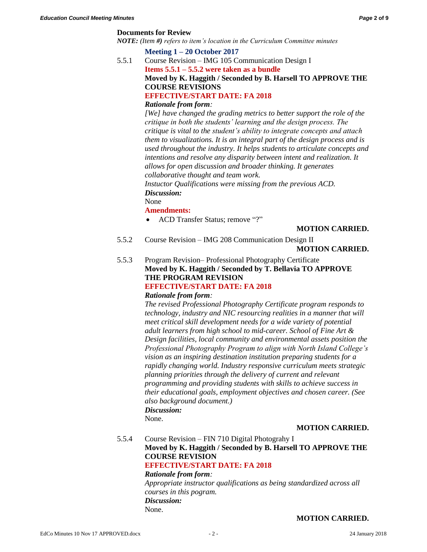#### **Documents for Review**

*NOTE: (Item #) refers to item's location in the Curriculum Committee minutes*

#### **Meeting 1 – 20 October 2017**

5.5.1 Course Revision – IMG 105 Communication Design I **Items 5.5.1 – 5.5.2 were taken as a bundle Moved by K. Haggith / Seconded by B. Harsell TO APPROVE THE COURSE REVISIONS EFFECTIVE/START DATE: FA 2018**

#### *Rationale from form:*

*[We] have changed the grading metrics to better support the role of the critique in both the students' learning and the design process. The critique is vital to the student's ability to integrate concepts and attach them to visualizations. It is an integral part of the design process and is used throughout the industry. It helps students to articulate concepts and intentions and resolve any disparity between intent and realization. It allows for open discussion and broader thinking. It generates collaborative thought and team work.*

*Instuctor Qualifications were missing from the previous ACD. Discussion:*

None

#### **Amendments:**

• ACD Transfer Status; remove "?"

#### **MOTION CARRIED.**

5.5.2 Course Revision – IMG 208 Communication Design II

**MOTION CARRIED.**

5.5.3 Program Revision– Professional Photography Certificate **Moved by K. Haggith / Seconded by T. Bellavia TO APPROVE THE PROGRAM REVISION**

# **EFFECTIVE/START DATE: FA 2018**

# *Rationale from form:*

*The revised Professional Photography Certificate program responds to technology, industry and NIC resourcing realities in a manner that will meet critical skill development needs for a wide variety of potential adult learners from high school to mid-career. School of Fine Art & Design facilities, local community and environmental assets position the Professional Photography Program to align with North Island College's vision as an inspiring destination institution preparing students for a rapidly changing world. Industry responsive curriculum meets strategic planning priorities through the delivery of current and relevant programming and providing students with skills to achieve success in their educational goals, employment objectives and chosen career. (See also background document.) Discussion:*

None.

#### **MOTION CARRIED.**

5.5.4 Course Revision – FIN 710 Digital Photograhy I

# **Moved by K. Haggith / Seconded by B. Harsell TO APPROVE THE COURSE REVISION**

# **EFFECTIVE/START DATE: FA 2018**

### *Rationale from form:*

*Appropriate instructor qualifications as being standardized across all courses in this pogram. Discussion:* None.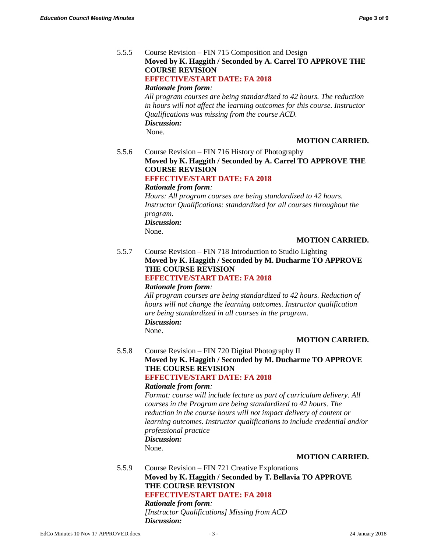5.5.5 Course Revision – FIN 715 Composition and Design **Moved by K. Haggith / Seconded by A. Carrel TO APPROVE THE COURSE REVISION EFFECTIVE/START DATE: FA 2018** *Rationale from form: All program courses are being standardized to 42 hours. The reduction in hours will not affect the learning outcomes for this course. Instructor Qualifications was missing from the course ACD. Discussion:*

None.

# **MOTION CARRIED.**

5.5.6 Course Revision – FIN 716 History of Photography **Moved by K. Haggith / Seconded by A. Carrel TO APPROVE THE COURSE REVISION EFFECTIVE/START DATE: FA 2018** *Rationale from form:*

> *Hours: All program courses are being standardized to 42 hours. Instructor Qualifications: standardized for all courses throughout the program. Discussion:*

None.

#### **MOTION CARRIED.**

5.5.7 Course Revision – FIN 718 Introduction to Studio Lighting **Moved by K. Haggith / Seconded by M. Ducharme TO APPROVE THE COURSE REVISION**

# **EFFECTIVE/START DATE: FA 2018**

*Rationale from form:*

*All program courses are being standardized to 42 hours. Reduction of hours will not change the learning outcomes. Instructor qualification are being standardized in all courses in the program. Discussion:* None.

#### **MOTION CARRIED.**

5.5.8 Course Revision – FIN 720 Digital Photography II **Moved by K. Haggith / Seconded by M. Ducharme TO APPROVE THE COURSE REVISION EFFECTIVE/START DATE: FA 2018**

#### *Rationale from form:*

*Format: course will include lecture as part of curriculum delivery. All courses in the Program are being standardized to 42 hours. The reduction in the course hours will not impact delivery of content or learning outcomes. Instructor qualifications to include credential and/or professional practice Discussion:*

None.

#### **MOTION CARRIED.**

5.5.9 Course Revision – FIN 721 Creative Explorations **Moved by K. Haggith / Seconded by T. Bellavia TO APPROVE THE COURSE REVISION EFFECTIVE/START DATE: FA 2018**

*Rationale from form:*

*[Instructor Qualifications] Missing from ACD Discussion:*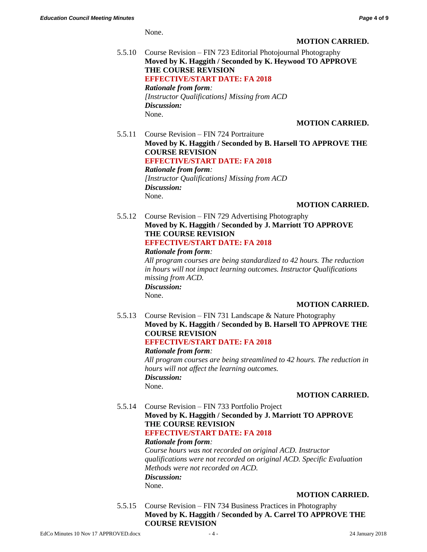None.

#### **MOTION CARRIED.**

5.5.10 Course Revision – FIN 723 Editorial Photojournal Photography **Moved by K. Haggith / Seconded by K. Heywood TO APPROVE THE COURSE REVISION EFFECTIVE/START DATE: FA 2018** *Rationale from form: [Instructor Qualifications] Missing from ACD Discussion:* None.

# **MOTION CARRIED.**

5.5.11 Course Revision – FIN 724 Portraiture **Moved by K. Haggith / Seconded by B. Harsell TO APPROVE THE COURSE REVISION EFFECTIVE/START DATE: FA 2018** *Rationale from form: [Instructor Qualifications] Missing from ACD Discussion:* None.

# **MOTION CARRIED.**

5.5.12 Course Revision – FIN 729 Advertising Photography **Moved by K. Haggith / Seconded by J. Marriott TO APPROVE THE COURSE REVISION EFFECTIVE/START DATE: FA 2018**

# *Rationale from form:*

*All program courses are being standardized to 42 hours. The reduction in hours will not impact learning outcomes. Instructor Qualifications missing from ACD. Discussion:*

None.

# **MOTION CARRIED.**

5.5.13 Course Revision – FIN 731 Landscape & Nature Photography **Moved by K. Haggith / Seconded by B. Harsell TO APPROVE THE COURSE REVISION EFFECTIVE/START DATE: FA 2018** *Rationale from form: All program courses are being streamlined to 42 hours. The reduction in hours will not affect the learning outcomes. Discussion:* None.

# **MOTION CARRIED.**

5.5.14 Course Revision – FIN 733 Portfolio Project **Moved by K. Haggith / Seconded by J. Marriott TO APPROVE THE COURSE REVISION EFFECTIVE/START DATE: FA 2018** *Rationale from form:*

*Course hours was not recorded on original ACD. Instructor qualifications were not recorded on original ACD. Specific Evaluation Methods were not recorded on ACD. Discussion:* None.

# **MOTION CARRIED.**

5.5.15 Course Revision – FIN 734 Business Practices in Photography **Moved by K. Haggith / Seconded by A. Carrel TO APPROVE THE COURSE REVISION**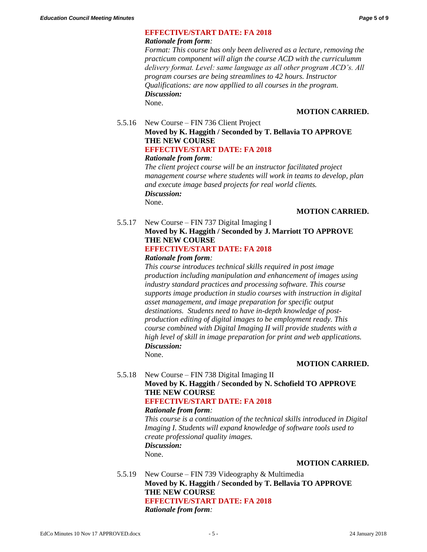# **EFFECTIVE/START DATE: FA 2018**

#### *Rationale from form:*

*Format: This course has only been delivered as a lecture, removing the practicum component will align the course ACD with the curriculumm delivery format. Level: same language as all other program ACD's. All program courses are being streamlines to 42 hours. Instructor Qualifications: are now appllied to all courses in the program. Discussion:* None.

#### **MOTION CARRIED.**

#### 5.5.16 New Course – FIN 736 Client Project **Moved by K. Haggith / Seconded by T. Bellavia TO APPROVE THE NEW COURSE EFFECTIVE/START DATE: FA 2018**

#### *Rationale from form:*

*The client project course will be an instructor facilitated project management course where students will work in teams to develop, plan and execute image based projects for real world clients. Discussion:* None.

# **MOTION CARRIED.**

# 5.5.17 New Course – FIN 737 Digital Imaging I **Moved by K. Haggith / Seconded by J. Marriott TO APPROVE THE NEW COURSE EFFECTIVE/START DATE: FA 2018**

#### *Rationale from form:*

*This course introduces technical skills required in post image production including manipulation and enhancement of images using industry standard practices and processing software. This course supports image production in studio courses with instruction in digital asset management, and image preparation for specific output destinations. Students need to have in-depth knowledge of postproduction editing of digital images to be employment ready. This course combined with Digital Imaging II will provide students with a high level of skill in image preparation for print and web applications. Discussion:*

None.

# **MOTION CARRIED.**

# 5.5.18 New Course – FIN 738 Digital Imaging II **Moved by K. Haggith / Seconded by N. Schofield TO APPROVE THE NEW COURSE EFFECTIVE/START DATE: FA 2018**

#### *Rationale from form:*

*This course is a continuation of the technical skills introduced in Digital Imaging I. Students will expand knowledge of software tools used to create professional quality images. Discussion:* None.

#### **MOTION CARRIED.**

5.5.19 New Course – FIN 739 Videography & Multimedia **Moved by K. Haggith / Seconded by T. Bellavia TO APPROVE THE NEW COURSE EFFECTIVE/START DATE: FA 2018** *Rationale from form:*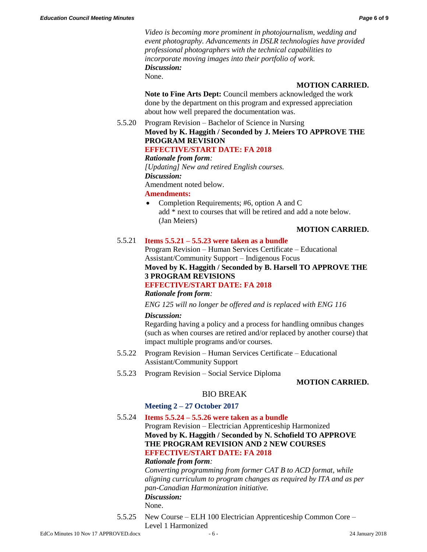*Video is becoming more prominent in photojournalism, wedding and event photography. Advancements in DSLR technologies have provided professional photographers with the technical capabilities to incorporate moving images into their portfolio of work. Discussion:* None.

#### **MOTION CARRIED.**

**Note to Fine Arts Dept:** Council members acknowledged the work done by the department on this program and expressed appreciation about how well prepared the documentation was.

# 5.5.20 Program Revision – Bachelor of Science in Nursing **Moved by K. Haggith / Seconded by J. Meiers TO APPROVE THE PROGRAM REVISION**

# **EFFECTIVE/START DATE: FA 2018**

#### *Rationale from form:*

*[Updating] New and retired English courses.*

# *Discussion:*

Amendment noted below.

#### **Amendments:**

• Completion Requirements; #6, option A and C add \* next to courses that will be retired and add a note below. (Jan Meiers)

# **MOTION CARRIED.**

# 5.5.21 **Items 5.5.21 – 5.5.23 were taken as a bundle**

Program Revision – Human Services Certificate – Educational Assistant/Community Support – Indigenous Focus **Moved by K. Haggith / Seconded by B. Harsell TO APPROVE THE 3 PROGRAM REVISIONS EFFECTIVE/START DATE: FA 2018**

# *Rationale from form:*

*ENG 125 will no longer be offered and is replaced with ENG 116*

#### *Discussion:*

Regarding having a policy and a process for handling omnibus changes (such as when courses are retired and/or replaced by another course) that impact multiple programs and/or courses.

- 5.5.22 Program Revision Human Services Certificate Educational Assistant/Community Support
- 5.5.23 Program Revision Social Service Diploma

#### **MOTION CARRIED.**

# BIO BREAK

# **Meeting 2 – 27 October 2017**

# 5.5.24 **Items 5.5.24 – 5.5.26 were taken as a bundle**

Program Revision – Electrician Apprenticeship Harmonized **Moved by K. Haggith / Seconded by N. Schofield TO APPROVE THE PROGRAM REVISION AND 2 NEW COURSES EFFECTIVE/START DATE: FA 2018**

#### *Rationale from form:*

*Converting programming from former CAT B to ACD format, while aligning curriculum to program changes as required by ITA and as per pan-Canadian Harmonization initiative. Discussion:* None.

5.5.25 New Course – ELH 100 Electrician Apprenticeship Common Core – Level 1 Harmonized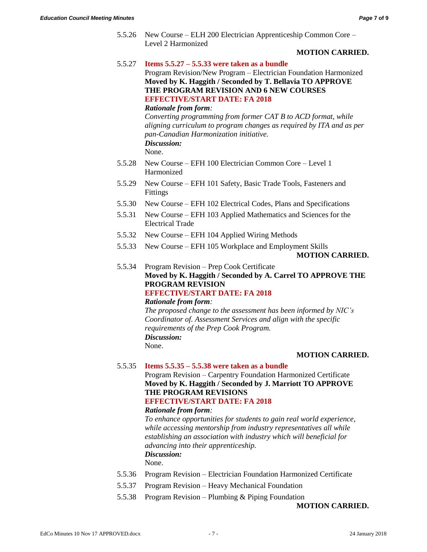5.5.26 New Course – ELH 200 Electrician Apprenticeship Common Core – Level 2 Harmonized

#### **MOTION CARRIED.**

5.5.27 **Items 5.5.27 – 5.5.33 were taken as a bundle**

Program Revision/New Program – Electrician Foundation Harmonized **Moved by K. Haggith / Seconded by T. Bellavia TO APPROVE THE PROGRAM REVISION AND 6 NEW COURSES EFFECTIVE/START DATE: FA 2018** *Rationale from form:*

*Converting programming from former CAT B to ACD format, while aligning curriculum to program changes as required by ITA and as per pan-Canadian Harmonization initiative. Discussion:*

None.

- 5.5.28 New Course EFH 100 Electrician Common Core Level 1 Harmonized
- 5.5.29 New Course EFH 101 Safety, Basic Trade Tools, Fasteners and Fittings
- 5.5.30 New Course EFH 102 Electrical Codes, Plans and Specifications
- 5.5.31 New Course EFH 103 Applied Mathematics and Sciences for the Electrical Trade
- 5.5.32 New Course EFH 104 Applied Wiring Methods
- 5.5.33 New Course EFH 105 Workplace and Employment Skills **MOTION CARRIED.**

5.5.34 Program Revision – Prep Cook Certificate **Moved by K. Haggith / Seconded by A. Carrel TO APPROVE THE PROGRAM REVISION EFFECTIVE/START DATE: FA 2018**

#### *Rationale from form:*

*The proposed change to the assessment has been informed by NIC's Coordinator of. Assessment Services and align with the specific requirements of the Prep Cook Program. Discussion:* None.

#### **MOTION CARRIED.**

5.5.35 **Items 5.5.35 – 5.5.38 were taken as a bundle**

Program Revision – Carpentry Foundation Harmonized Certificate **Moved by K. Haggith / Seconded by J. Marriott TO APPROVE THE PROGRAM REVISIONS**

# **EFFECTIVE/START DATE: FA 2018**

# *Rationale from form:*

*To enhance opportunities for students to gain real world experience, while accessing mentorship from industry representatives all while establishing an association with industry which will beneficial for advancing into their apprenticeship. Discussion:*

None.

- 5.5.36 Program Revision Electrician Foundation Harmonized Certificate
- 5.5.37 Program Revision Heavy Mechanical Foundation
- 5.5.38 Program Revision Plumbing & Piping Foundation

**MOTION CARRIED.**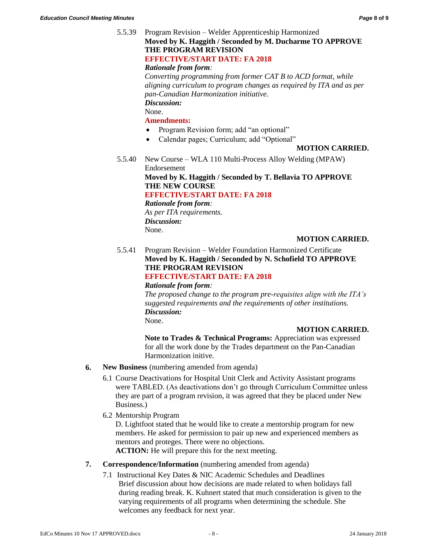# 5.5.39 Program Revision – Welder Apprenticeship Harmonized **Moved by K. Haggith / Seconded by M. Ducharme TO APPROVE THE PROGRAM REVISION EFFECTIVE/START DATE: FA 2018** *Rationale from form: Converting programming from former CAT B to ACD format, while*

*aligning curriculum to program changes as required by ITA and as per pan-Canadian Harmonization initiative.*

*Discussion:*

None.

# **Amendments:**

- Program Revision form; add "an optional"
- Calendar pages; Curriculum; add "Optional"

# **MOTION CARRIED.**

5.5.40 New Course – WLA 110 Multi-Process Alloy Welding (MPAW) Endorsement

**Moved by K. Haggith / Seconded by T. Bellavia TO APPROVE THE NEW COURSE**

**EFFECTIVE/START DATE: FA 2018**

*Rationale from form: As per ITA requirements. Discussion:* None.

# **MOTION CARRIED.**

5.5.41 Program Revision – Welder Foundation Harmonized Certificate **Moved by K. Haggith / Seconded by N. Schofield TO APPROVE THE PROGRAM REVISION**

# **EFFECTIVE/START DATE: FA 2018**

*Rationale from form: The proposed change to the program pre-requisites align with the ITA's suggested requirements and the requirements of other institutions. Discussion:* None.

# **MOTION CARRIED.**

**Note to Trades & Technical Programs:** Appreciation was expressed for all the work done by the Trades department on the Pan-Canadian Harmonization initive.

- **6. New Business** (numbering amended from agenda)
	- 6.1 Course Deactivations for Hospital Unit Clerk and Activity Assistant programs were TABLED. (As deactivations don't go through Curriculum Committee unless they are part of a program revision, it was agreed that they be placed under New Business.)
	- 6.2 Mentorship Program

D. Lightfoot stated that he would like to create a mentorship program for new members. He asked for permission to pair up new and experienced members as mentors and proteges. There were no objections.

**ACTION:** He will prepare this for the next meeting.

# **7. Correspondence/Information** (numbering amended from agenda)

7.1 Instructional Key Dates & NIC Academic Schedules and Deadlines Brief discussion about how decisions are made related to when holidays fall during reading break. K. Kuhnert stated that much consideration is given to the varying requirements of all programs when determining the schedule. She welcomes any feedback for next year.